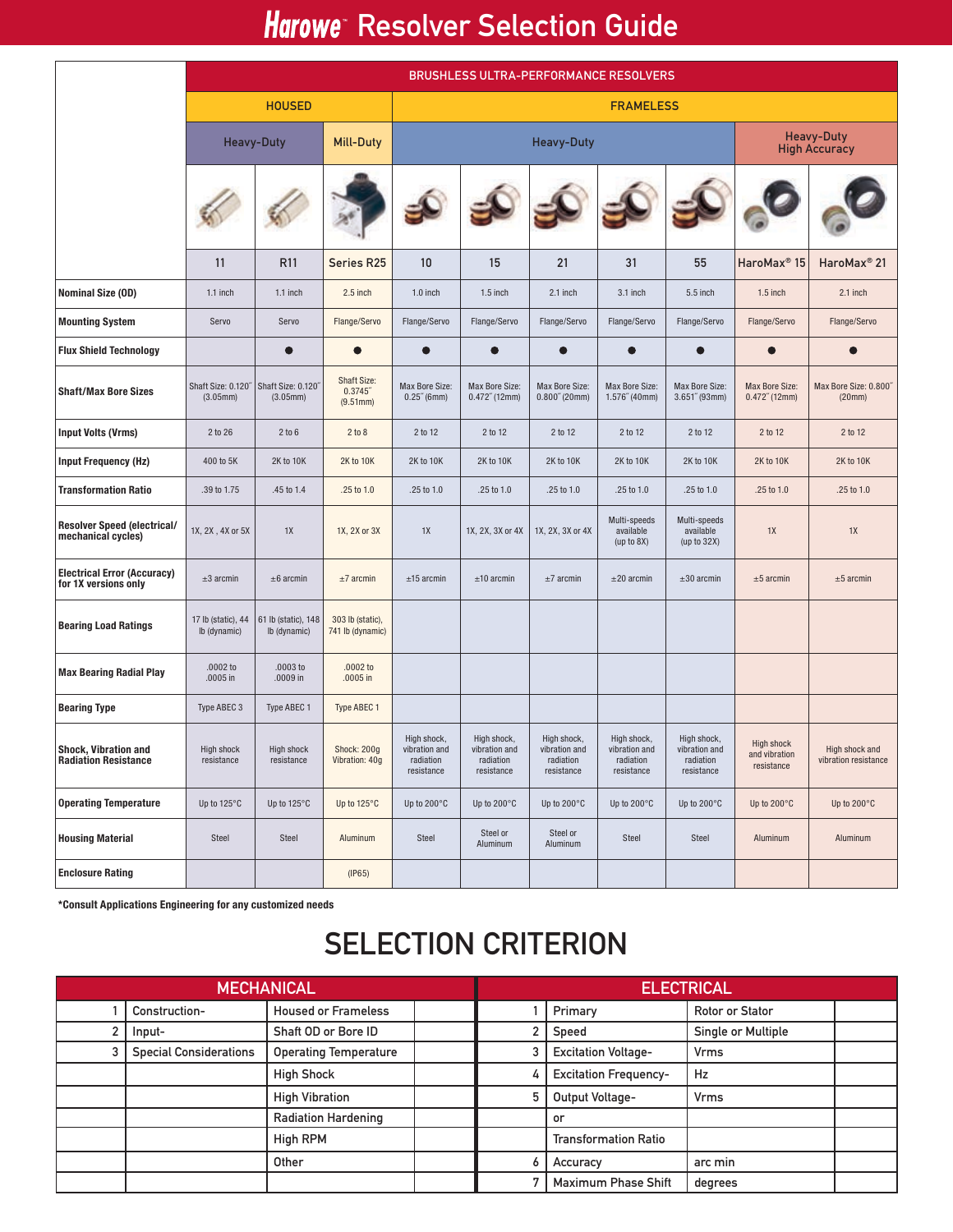## Harowe Resolver Selection Guide

|                                                            | <b>BRUSHLESS ULTRA-PERFORMANCE RESOLVERS</b> |                                     |                                           |                                                         |                                                         |                                                         |                                                         |                                                         |                                                  |                                           |  |  |
|------------------------------------------------------------|----------------------------------------------|-------------------------------------|-------------------------------------------|---------------------------------------------------------|---------------------------------------------------------|---------------------------------------------------------|---------------------------------------------------------|---------------------------------------------------------|--------------------------------------------------|-------------------------------------------|--|--|
|                                                            | <b>HOUSED</b>                                |                                     |                                           | <b>FRAMELESS</b>                                        |                                                         |                                                         |                                                         |                                                         |                                                  |                                           |  |  |
|                                                            |                                              | <b>Heavy-Duty</b>                   |                                           | <b>Heavy-Duty</b>                                       |                                                         |                                                         |                                                         |                                                         |                                                  | <b>Heavy-Duty</b><br><b>High Accuracy</b> |  |  |
|                                                            |                                              |                                     |                                           |                                                         |                                                         |                                                         |                                                         |                                                         |                                                  |                                           |  |  |
|                                                            | 11                                           | R <sub>11</sub>                     | Series R25                                | 10                                                      | 15                                                      | 21                                                      | 31                                                      | 55                                                      | HaroMax <sup>®</sup> 15                          | HaroMax <sup>®</sup> 21                   |  |  |
| <b>Nominal Size (OD)</b>                                   | 1.1 inch                                     | 1.1 inch                            | 2.5 inch                                  | $1.0$ inch                                              | $1.5$ inch                                              | 2.1 inch                                                | 3.1 inch                                                | 5.5 inch                                                | $1.5$ inch                                       | 2.1 inch                                  |  |  |
| <b>Mounting System</b>                                     | Servo                                        | Servo                               | Flange/Servo                              | Flange/Servo                                            | Flange/Servo                                            | Flange/Servo                                            | Flange/Servo                                            | Flange/Servo                                            | Flange/Servo                                     | Flange/Servo                              |  |  |
| <b>Flux Shield Technology</b>                              |                                              | ●                                   | $\bullet$                                 | $\bullet$                                               | $\bullet$                                               | $\bullet$                                               | $\bullet$                                               | $\bullet$                                               | $\bullet$                                        | $\bullet$                                 |  |  |
| <b>Shaft/Max Bore Sizes</b>                                | Shaft Size: 0.120"<br>(3.05mm)               | Shaft Size: 0.120"<br>(3.05mm)      | <b>Shaft Size:</b><br>0.3745"<br>(9.51mm) | Max Bore Size:<br>$0.25^{\prime\prime}$ (6mm)           | Max Bore Size:<br>$0.472''$ (12mm)                      | Max Bore Size:<br>0.800''(20mm)                         | Max Bore Size:<br>1.576''(40mm)                         | Max Bore Size:<br>$3.651''$ (93mm)                      | Max Bore Size:<br>$0.472''$ (12mm)               | Max Bore Size: 0.800"<br>(20mm)           |  |  |
| <b>Input Volts (Vrms)</b>                                  | 2 to 26                                      | 2 to 6                              | 2 to 8                                    | 2 to 12                                                 | 2 to 12                                                 | 2 to 12                                                 | 2 to 12                                                 | 2 to 12                                                 | 2 to 12                                          | 2 to 12                                   |  |  |
| <b>Input Frequency (Hz)</b>                                | 400 to 5K                                    | 2K to 10K                           | 2K to 10K                                 | 2K to 10K                                               | 2K to 10K                                               | 2K to 10K                                               | 2K to 10K                                               | 2K to 10K                                               | 2K to 10K                                        | 2K to 10K                                 |  |  |
| <b>Transformation Ratio</b>                                | .39 to 1.75                                  | .45 to 1.4                          | .25 to 1.0                                | .25 to 1.0                                              | .25 to 1.0                                              | .25 to 1.0                                              | .25 to 1.0                                              | .25 to 1.0                                              | .25 to 1.0                                       | .25 to 1.0                                |  |  |
| <b>Resolver Speed (electrical/</b><br>mechanical cycles)   | 1X, 2X, 4X or 5X                             | 1X                                  | 1X, 2X or 3X                              | 1X                                                      | 1X, 2X, 3X or 4X                                        | 1X, 2X, 3X or 4X                                        | Multi-speeds<br>available<br>(up to 8X)                 | Multi-speeds<br>available<br>(up to $32X$ )             | 1X                                               | 1X                                        |  |  |
| <b>Electrical Error (Accuracy)</b><br>for 1X versions only | $±3$ arcmin                                  | $±6$ arcmin                         | $±7$ arcmin                               | $±15$ arcmin                                            | $±10$ arcmin                                            | $±7$ arcmin                                             | $±20$ arcmin                                            | $±30$ arcmin                                            | $±5$ arcmin                                      | $±5$ arcmin                               |  |  |
| <b>Bearing Load Ratings</b>                                | 17 lb (static), 44<br>lb (dynamic)           | 61 lb (static), 148<br>lb (dynamic) | 303 lb (static),<br>741 lb (dynamic)      |                                                         |                                                         |                                                         |                                                         |                                                         |                                                  |                                           |  |  |
| <b>Max Bearing Radial Play</b>                             | $.0002$ to<br>$.0005$ in                     | $.0003$ to<br>.0009 in              | $.0002$ to<br>$.0005$ in                  |                                                         |                                                         |                                                         |                                                         |                                                         |                                                  |                                           |  |  |
| <b>Bearing Type</b>                                        | Type ABEC 3                                  | Type ABEC 1                         | Type ABEC 1                               |                                                         |                                                         |                                                         |                                                         |                                                         |                                                  |                                           |  |  |
| <b>Shock. Vibration and</b><br><b>Radiation Resistance</b> | High shock<br>resistance                     | <b>High shock</b><br>resistance     | Shock: 200g<br>Vibration: 40g             | High shock,<br>vibration and<br>radiation<br>resistance | High shock,<br>vibration and<br>radiation<br>resistance | High shock,<br>vibration and<br>radiation<br>resistance | High shock,<br>vibration and<br>radiation<br>resistance | High shock,<br>vibration and<br>radiation<br>resistance | <b>High shock</b><br>and vibration<br>resistance | High shock and<br>vibration resistance    |  |  |
| <b>Operating Temperature</b>                               | Up to 125°C                                  | Up to 125°C                         | Up to 125°C                               | Up to 200°C                                             | Up to 200°C                                             | Up to 200°C                                             | Up to 200°C                                             | Up to 200°C                                             | Up to 200°C                                      | Up to 200°C                               |  |  |
| <b>Housing Material</b>                                    | Steel                                        | Steel                               | Aluminum                                  | Steel                                                   | Steel or<br>Aluminum                                    | Steel or<br>Aluminum                                    | Steel                                                   | Steel                                                   | Aluminum                                         | Aluminum                                  |  |  |
| <b>Enclosure Rating</b>                                    |                                              |                                     | (IP65)                                    |                                                         |                                                         |                                                         |                                                         |                                                         |                                                  |                                           |  |  |

\*Consult Applications Engineering for any customized needs

## **SELECTION CRITERION**

| <b>MECHANICAL</b> |                               |                              |  | <b>ELECTRICAL</b> |                              |                        |  |  |  |
|-------------------|-------------------------------|------------------------------|--|-------------------|------------------------------|------------------------|--|--|--|
|                   | Construction-                 | <b>Housed or Frameless</b>   |  |                   | Primary                      | <b>Rotor or Stator</b> |  |  |  |
|                   | Input-                        | Shaft OD or Bore ID          |  |                   | Speed                        | Single or Multiple     |  |  |  |
|                   | <b>Special Considerations</b> | <b>Operating Temperature</b> |  |                   | <b>Excitation Voltage-</b>   | <b>Vrms</b>            |  |  |  |
|                   |                               | <b>High Shock</b>            |  |                   | <b>Excitation Frequency-</b> | Hz                     |  |  |  |
|                   |                               | <b>High Vibration</b>        |  |                   | Output Voltage-              | <b>Vrms</b>            |  |  |  |
|                   |                               | <b>Radiation Hardening</b>   |  |                   | or                           |                        |  |  |  |
|                   |                               | <b>High RPM</b>              |  |                   | <b>Transformation Ratio</b>  |                        |  |  |  |
|                   |                               | Other                        |  |                   | Accuracy                     | arc min                |  |  |  |
|                   |                               |                              |  |                   | <b>Maximum Phase Shift</b>   | degrees                |  |  |  |